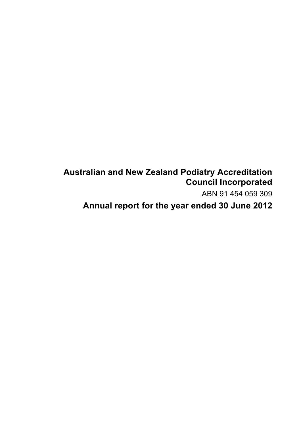# **Australian and New Zealand Podiatry Accreditation Council Incorporated**

ABN 91 454 059 309

**Annual report for the year ended 30 June 2012**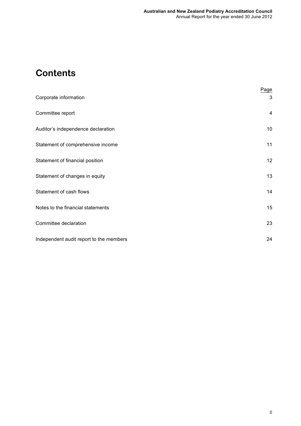# **Contents**

| Corporate information                   | Page<br>3       |
|-----------------------------------------|-----------------|
| Committee report                        | 4               |
| Auditor's independence declaration      | 10 <sup>°</sup> |
| Statement of comprehensive income       | 11              |
| Statement of financial position         | 12 <sub>2</sub> |
| Statement of changes in equity          | 13              |
| Statement of cash flows                 | 14              |
| Notes to the financial statements       | 15              |
| Committee declaration                   | 23              |
| Independent audit report to the members | 24              |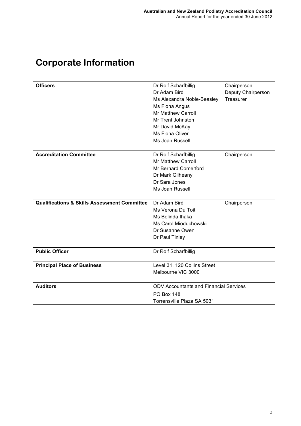| <b>Officers</b>                                         | Dr Rolf Scharfbillig                          | Chairperson        |
|---------------------------------------------------------|-----------------------------------------------|--------------------|
|                                                         | Dr Adam Bird                                  | Deputy Chairperson |
|                                                         | Ms Alexandra Noble-Beasley                    | Treasurer          |
|                                                         | Ms Fiona Angus                                |                    |
|                                                         | <b>Mr Matthew Carroll</b>                     |                    |
|                                                         | Mr Trent Johnston                             |                    |
|                                                         | Mr David McKay                                |                    |
|                                                         | Ms Fiona Oliver                               |                    |
|                                                         | Ms Joan Russell                               |                    |
| <b>Accreditation Committee</b>                          | Dr Rolf Scharfbillig                          | Chairperson        |
|                                                         | <b>Mr Matthew Carroll</b>                     |                    |
|                                                         | Mr Bernard Comerford                          |                    |
|                                                         | Dr Mark Gilheany                              |                    |
|                                                         | Dr Sara Jones                                 |                    |
|                                                         | Ms Joan Russell                               |                    |
|                                                         |                                               |                    |
| <b>Qualifications &amp; Skills Assessment Committee</b> | Dr Adam Bird                                  | Chairperson        |
|                                                         | Ms Verona Du Toit                             |                    |
|                                                         | Ms Belinda Ihaka                              |                    |
|                                                         | Ms Carol Mioduchowski                         |                    |
|                                                         | Dr Susanne Owen                               |                    |
|                                                         | Dr Paul Tinley                                |                    |
| <b>Public Officer</b>                                   | Dr Rolf Scharfbillig                          |                    |
| <b>Principal Place of Business</b>                      | Level 31, 120 Collins Street                  |                    |
|                                                         | Melbourne VIC 3000                            |                    |
| <b>Auditors</b>                                         | <b>ODV Accountants and Financial Services</b> |                    |
|                                                         | <b>PO Box 148</b>                             |                    |
|                                                         | Torrensville Plaza SA 5031                    |                    |
|                                                         |                                               |                    |

# **Corporate Information**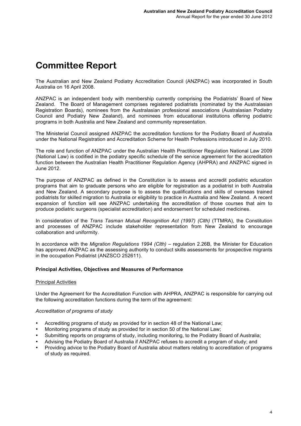# **Committee Report**

The Australian and New Zealand Podiatry Accreditation Council (ANZPAC) was incorporated in South Australia on 16 April 2008.

ANZPAC is an independent body with membership currently comprising the Podiatrists' Board of New Zealand. The Board of Management comprises registered podiatrists (nominated by the Australasian Registration Boards), nominees from the Australasian professional associations (Australasian Podiatry Council and Podiatry New Zealand), and nominees from educational institutions offering podiatric programs in both Australia and New Zealand and community representation.

The Ministerial Council assigned ANZPAC the accreditation functions for the Podiatry Board of Australia under the National Registration and Accreditation Scheme for Health Professions introduced in July 2010.

The role and function of ANZPAC under the Australian Health Practitioner Regulation National Law 2009 (National Law) is codified in the podiatry specific schedule of the service agreement for the accreditation function between the Australian Health Practitioner Regulation Agency (AHPRA) and ANZPAC signed in June 2012.

The purpose of ANZPAC as defined in the Constitution is to assess and accredit podiatric education programs that aim to graduate persons who are eligible for registration as a podiatrist in both Australia and New Zealand. A secondary purpose is to assess the qualifications and skills of overseas trained podiatrists for skilled migration to Australia or eligibility to practice in Australia and New Zealand. A recent expansion of function will see ANZPAC undertaking the accreditation of those courses that aim to produce podiatric surgeons (specialist accreditation) and endorsement for scheduled medicines.

In consideration of the *Trans Tasman Mutual Recognition Act (1997) (Clth)* (TTMRA), the Constitution and processes of ANZPAC include stakeholder representation from New Zealand to encourage collaboration and uniformity.

In accordance with the *Migration Regulations 1994 (Clth)* – regulation 2.26B, the Minister for Education has approved ANZPAC as the assessing authority to conduct skills assessments for prospective migrants in the occupation Podiatrist (ANZSCO 252611).

### **Principal Activities, Objectives and Measures of Performance**

#### Principal Activities

Under the Agreement for the Accreditation Function with AHPRA, ANZPAC is responsible for carrying out the following accreditation functions during the term of the agreement:

### *Accreditation of programs of study*

- Accrediting programs of study as provided for in section 48 of the National Law;
- Monitoring programs of study as provided for in section 50 of the National Law;
- Submitting reports on programs of study, including monitoring, to the Podiatry Board of Australia;
- Advising the Podiatry Board of Australia if ANZPAC refuses to accredit a program of study; and
- Providing advice to the Podiatry Board of Australia about matters relating to accreditation of programs of study as required.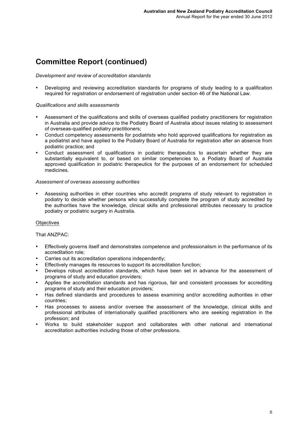#### *Development and review of accreditation standards*

• Developing and reviewing accreditation standards for programs of study leading to a qualification required for registration or endorsement of registration under section 46 of the National Law.

### *Qualifications and skills assessments*

- Assessment of the qualifications and skills of overseas qualified podiatry practitioners for registration in Australia and provide advice to the Podiatry Board of Australia about issues relating to assessment of overseas-qualified podiatry practitioners;
- Conduct competency assessments for podiatrists who hold approved qualifications for registration as a podiatrist and have applied to the Podiatry Board of Australia for registration after an absence from podiatric practice; and
- Conduct assessment of qualifications in podiatric therapeutics to ascertain whether they are substantially equivalent to, or based on similar competencies to, a Podiatry Board of Australia approved qualification in podiatric therapeutics for the purposes of an endorsement for scheduled medicines.

### *Assessment of overseas assessing authorities*

Assessing authorities in other countries who accredit programs of study relevant to registration in podiatry to decide whether persons who successfully complete the program of study accredited by the authorities have the knowledge, clinical skills and professional attributes necessary to practice podiatry or podiatric surgery in Australia.

### **Objectives**

### That ANZPAC:

- Effectively governs itself and demonstrates competence and professionalism in the performance of its accreditation role;
- Carries out its accreditation operations independently;
- Effectively manages its resources to support its accreditation function;
- Develops robust accreditation standards, which have been set in advance for the assessment of programs of study and education providers;
- Applies the accreditation standards and has rigorous, fair and consistent processes for accrediting programs of study and their education providers;
- Has defined standards and procedures to assess examining and/or accrediting authorities in other countries;
- Has processes to assess and/or oversee the assessment of the knowledge, clinical skills and professional attributes of internationally qualified practitioners who are seeking registration in the profession; and
- Works to build stakeholder support and collaborates with other national and international accreditation authorities including those of other professions.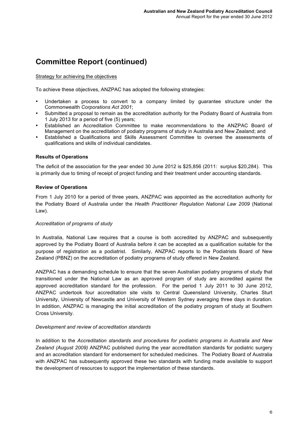### Strategy for achieving the objectives

To achieve these objectives, ANZPAC has adopted the following strategies:

- Undertaken a process to convert to a company limited by guarantee structure under the Commonwealth *Corporations Act 2001*;
- Submitted a proposal to remain as the accreditation authority for the Podiatry Board of Australia from 1 July 2013 for a period of five (5) years;
- Established an Accreditation Committee to make recommendations to the ANZPAC Board of Management on the accreditation of podiatry programs of study in Australia and New Zealand; and
- Established a Qualifications and Skills Assessment Committee to oversee the assessments of qualifications and skills of individual candidates.

### **Results of Operations**

The deficit of the association for the year ended 30 June 2012 is \$25,856 (2011: surplus \$20,284). This is primarily due to timing of receipt of project funding and their treatment under accounting standards.

### **Review of Operations**

From 1 July 2010 for a period of three years, ANZPAC was appointed as the accreditation authority for the Podiatry Board of Australia under the *Health Practitioner Regulation National Law 2009* (National Law).

### *Accreditation of programs of study*

In Australia, National Law requires that a course is both accredited by ANZPAC and subsequently approved by the Podiatry Board of Australia before it can be accepted as a qualification suitable for the purpose of registration as a podiatrist. Similarly, ANZPAC reports to the Podiatrists Board of New Zealand (PBNZ) on the accreditation of podiatry programs of study offered in New Zealand.

ANZPAC has a demanding schedule to ensure that the seven Australian podiatry programs of study that transitioned under the National Law as an approved program of study are accredited against the approved accreditation standard for the profession. For the period 1 July 2011 to 30 June 2012, ANZPAC undertook four accreditation site visits to Central Queensland University, Charles Sturt University, University of Newcastle and University of Western Sydney averaging three days in duration. In addition, ANZPAC is managing the initial accreditation of the podiatry program of study at Southern Cross University.

### *Development and review of accreditation standards*

In addition to the *Accreditation standards and procedures for podiatric programs in Australia and New Zealand (August 2009)* ANZPAC published during the year accreditation standards for podiatric surgery and an accreditation standard for endorsement for scheduled medicines. The Podiatry Board of Australia with ANZPAC has subsequently approved these two standards with funding made available to support the development of resources to support the implementation of these standards.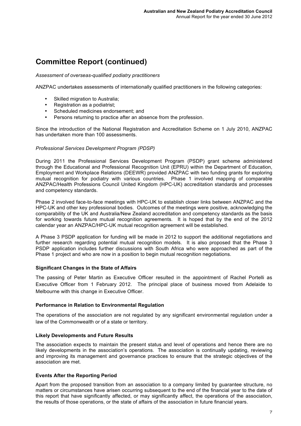### *Assessment of overseas-qualified podiatry practitioners*

ANZPAC undertakes assessments of internationally qualified practitioners in the following categories:

- Skilled migration to Australia;<br>• Pegistration as a podiatrist:
- Registration as a podiatrist:
- Scheduled medicines endorsement; and
- Persons returning to practice after an absence from the profession.

Since the introduction of the National Registration and Accreditation Scheme on 1 July 2010, ANZPAC has undertaken more than 100 assessments.

### *Professional Services Development Program (PDSP)*

During 2011 the Professional Services Development Program (PSDP) grant scheme administered through the Educational and Professional Recognition Unit (EPRU) within the Department of Education, Employment and Workplace Relations (DEEWR) provided ANZPAC with two funding grants for exploring mutual recognition for podiatry with various countries. Phase 1 involved mapping of comparable ANZPAC/Health Professions Council United Kingdom (HPC-UK) accreditation standards and processes and competency standards.

Phase 2 involved face-to-face meetings with HPC-UK to establish closer links between ANZPAC and the HPC-UK and other key professional bodies. Outcomes of the meetings were positive, acknowledging the comparability of the UK and Australia/New Zealand accreditation and competency standards as the basis for working towards future mutual recognition agreements. It is hoped that by the end of the 2012 calendar year an ANZPAC/HPC-UK mutual recognition agreement will be established.

A Phase 3 PSDP application for funding will be made in 2012 to support the additional negotiations and further research regarding potential mutual recognition models. It is also proposed that the Phase 3 PSDP application includes further discussions with South Africa who were approached as part of the Phase 1 project and who are now in a position to begin mutual recognition negotiations.

### **Significant Changes in the State of Affairs**

The passing of Peter Martin as Executive Officer resulted in the appointment of Rachel Portelli as Executive Officer from 1 February 2012. The principal place of business moved from Adelaide to Melbourne with this change in Executive Officer.

#### **Performance in Relation to Environmental Regulation**

The operations of the association are not regulated by any significant environmental regulation under a law of the Commonwealth or of a state or territory.

#### **Likely Developments and Future Results**

The association expects to maintain the present status and level of operations and hence there are no likely developments in the association's operations. The association is continually updating, reviewing and improving its management and governance practices to ensure that the strategic objectives of the association are met.

### **Events After the Reporting Period**

Apart from the proposed transition from an association to a company limited by guarantee structure, no matters or circumstances have arisen occurring subsequent to the end of the financial year to the date of this report that have significantly affected, or may significantly affect, the operations of the association, the results of those operations, or the state of affairs of the association in future financial years.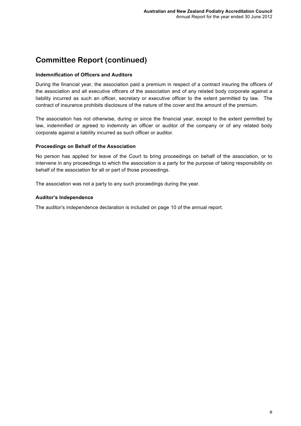### **Indemnification of Officers and Auditors**

During the financial year, the association paid a premium in respect of a contract insuring the officers of the association and all executive officers of the association and of any related body corporate against a liability incurred as such an officer, secretary or executive officer to the extent permitted by law. The contract of insurance prohibits disclosure of the nature of the cover and the amount of the premium.

The association has not otherwise, during or since the financial year, except to the extent permitted by law, indemnified or agreed to indemnity an officer or auditor of the company or of any related body corporate against a liability incurred as such officer or auditor.

### **Proceedings on Behalf of the Association**

No person has applied for leave of the Court to bring proceedings on behalf of the association, or to intervene in any proceedings to which the association is a party for the purpose of taking responsibility on behalf of the association for all or part of those proceedings.

The association was not a party to any such proceedings during the year.

### **Auditor's Independence**

The auditor's independence declaration is included on page 10 of the annual report.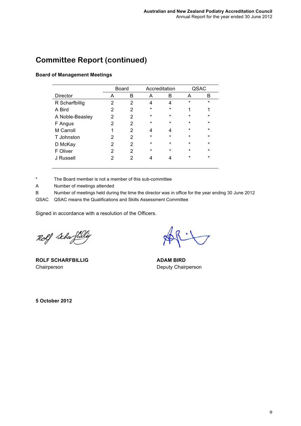### **Board of Management Meetings**

|                 |                | <b>Board</b> |         | Accreditation |         | QSAC    |
|-----------------|----------------|--------------|---------|---------------|---------|---------|
| <b>Director</b> | Α              | B            | A       | B             | A       | B       |
| R Scharfbillig  | 2              | 2            | 4       | 4             | $\star$ | $\star$ |
| A Bird          | 2              | 2            | $\star$ | $\star$       | 1       | 1       |
| A Noble-Beasley | 2              | 2            | $\star$ | $\star$       | $\star$ | *       |
| F Angus         | $\overline{2}$ | 2            | *       | *             | $\star$ | $\star$ |
| M Carroll       | 1              | 2            | 4       | 4             | $\star$ | $\star$ |
| T Johnston      | $\overline{2}$ | 2            | $\star$ | $\star$       | $\star$ | $\star$ |
| D McKay         | $\overline{2}$ | 2            | $\ast$  | $\star$       | $\star$ | $\star$ |
| F Oliver        | 2              | 2            | $\star$ | $\star$       | $\star$ | $\star$ |
| J Russell       | 2              | 2            | 4       | 4             | $\star$ | $\star$ |
|                 |                |              |         |               |         |         |

\* The Board member is not a member of this sub-committee

A Number of meetings attended

B Number of meetings held during the time the director was in office for the year ending 30 June 2012

QSAC QSAC means the Qualifications and Skills Assessment Committee

Signed in accordance with a resolution of the Officers.

Rolf Schafbli

**ROLF SCHARFBILLIG** Chairperson

**ADAM BIRD** Deputy Chairperson

**5 October 2012**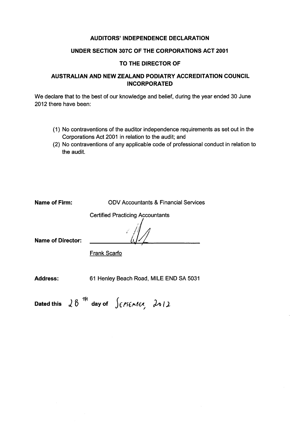### **AUDITORS' INDEPENDENCE DECLARATION**

### UNDER SECTION 307C OF THE CORPORATIONS ACT 2001

### TO THE DIRECTOR OF

### AUSTRALIAN AND NEW ZEALAND PODIATRY ACCREDITATION COUNCIL **INCORPORATED**

We declare that to the best of our knowledge and belief, during the year ended 30 June 2012 there have been:

- (1) No contraventions of the auditor independence requirements as set out in the Corporations Act 2001 in relation to the audit; and
- (2) No contraventions of any applicable code of professional conduct in relation to the audit.

| Name of Firm:     | <b>ODV Accountants &amp; Financial Services</b> |
|-------------------|-------------------------------------------------|
| Name of Director: | <b>Certified Practicing Accountants</b>         |
|                   | <b>Frank Scarfo</b>                             |
| <b>Address:</b>   | 61 Henley Beach Road, MILE END SA 5031          |

Dated this  $28^{14}$  day of  $\int e^{\gamma}$   $\epsilon \sim 2012$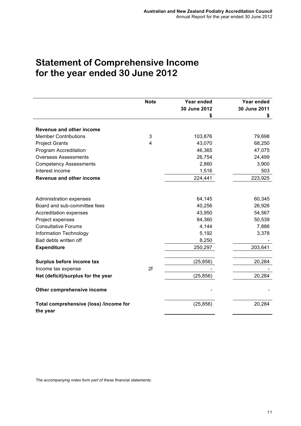# **Statement of Comprehensive Income for the year ended 30 June 2012**

|                                        | <b>Note</b>    | Year ended   | Year ended   |
|----------------------------------------|----------------|--------------|--------------|
|                                        |                | 30 June 2012 | 30 June 2011 |
|                                        |                | \$           | \$           |
|                                        |                |              |              |
| Revenue and other income               |                |              |              |
| <b>Member Contributions</b>            | 3              | 103,876      | 79,698       |
| <b>Project Grants</b>                  | $\overline{4}$ | 43,070       | 68,250       |
| Program Accreditation                  |                | 46,365       | 47,075       |
| <b>Overseas Assessments</b>            |                | 26,754       | 24,499       |
| <b>Competency Assessments</b>          |                | 2,860        | 3,900        |
| Interest income                        |                | 1,516        | 503          |
| Revenue and other income               |                | 224,441      | 223,925      |
|                                        |                |              |              |
|                                        |                |              |              |
| Administration expenses                |                | 64,145       | 60,345       |
| Board and sub-committee fees           |                | 40,256       | 26,926       |
| Accreditation expenses                 |                | 43,950       | 54,567       |
| Project expenses                       |                | 84,360       | 50,539       |
| <b>Consultative Forums</b>             |                | 4,144        | 7,886        |
| Information Technology                 |                | 5,192        | 3,378        |
| Bad debts written off                  |                | 8,250        |              |
| <b>Expenditure</b>                     |                | 250,297      | 203,641      |
|                                        |                |              |              |
| Surplus before income tax              |                | (25, 856)    | 20,284       |
| Income tax expense                     | 2f             |              |              |
| Net (deficit)/surplus for the year     |                | (25, 856)    | 20,284       |
|                                        |                |              |              |
| Other comprehensive income             |                |              |              |
| Total comprehensive (loss) /income for |                | (25, 856)    | 20,284       |
| the year                               |                |              |              |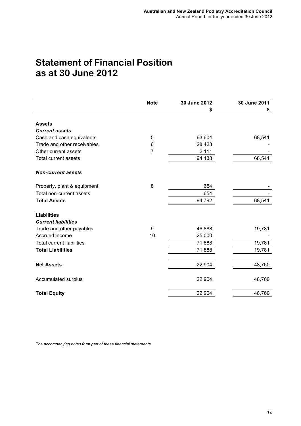# **Statement of Financial Position as at 30 June 2012**

|                                  | <b>Note</b>    | 30 June 2012 | 30 June 2011 |
|----------------------------------|----------------|--------------|--------------|
|                                  |                | \$           | \$           |
|                                  |                |              |              |
| <b>Assets</b>                    |                |              |              |
| <b>Current assets</b>            |                |              |              |
| Cash and cash equivalents        | 5              | 63,604       | 68,541       |
| Trade and other receivables      | 6              | 28,423       |              |
| Other current assets             | $\overline{7}$ | 2,111        |              |
| <b>Total current assets</b>      |                | 94,138       | 68,541       |
| <b>Non-current assets</b>        |                |              |              |
| Property, plant & equipment      | 8              | 654          |              |
| Total non-current assets         |                | 654          |              |
| <b>Total Assets</b>              |                | 94,792       | 68,541       |
| <b>Liabilities</b>               |                |              |              |
| <b>Current liabilities</b>       |                |              |              |
| Trade and other payables         | 9              | 46,888       | 19,781       |
| Accrued income                   | 10             | 25,000       |              |
| <b>Total current liabilities</b> |                | 71,888       | 19,781       |
| <b>Total Liabilities</b>         |                | 71,888       | 19,781       |
|                                  |                |              |              |
| <b>Net Assets</b>                |                | 22,904       | 48,760       |
| Accumulated surplus              |                | 22,904       | 48,760       |
| <b>Total Equity</b>              |                | 22,904       | 48,760       |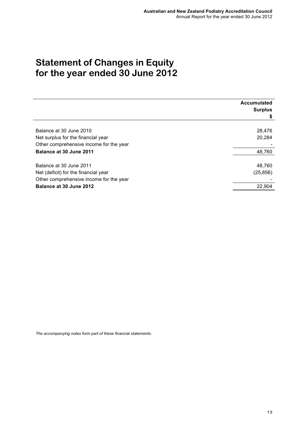# **Statement of Changes in Equity for the year ended 30 June 2012**

|                                         | Accumulated<br><b>Surplus</b><br>\$ |
|-----------------------------------------|-------------------------------------|
|                                         |                                     |
| Balance at 30 June 2010                 | 28,476                              |
| Net surplus for the financial year      | 20,284                              |
| Other comprehensive income for the year |                                     |
| Balance at 30 June 2011                 | 48,760                              |
|                                         |                                     |
| Balance at 30 June 2011                 | 48,760                              |
| Net (deficit) for the financial year    | (25, 856)                           |
| Other comprehensive income for the year |                                     |
| Balance at 30 June 2012                 | 22,904                              |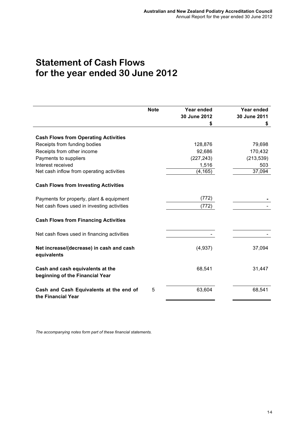## **Statement of Cash Flows for the year ended 30 June 2012**

|                                                                     | <b>Note</b> | <b>Year ended</b> | Year ended   |
|---------------------------------------------------------------------|-------------|-------------------|--------------|
|                                                                     |             | 30 June 2012      | 30 June 2011 |
|                                                                     |             | \$                | \$           |
| <b>Cash Flows from Operating Activities</b>                         |             |                   |              |
| Receipts from funding bodies                                        |             | 128,876           | 79,698       |
| Receipts from other income                                          |             | 92,686            | 170,432      |
| Payments to suppliers                                               |             | (227, 243)        | (213, 539)   |
| Interest received                                                   |             | 1,516             | 503          |
| Net cash inflow from operating activities                           |             | (4, 165)          | 37,094       |
| <b>Cash Flows from Investing Activities</b>                         |             |                   |              |
| Payments for property, plant & equipment                            |             | (772)             |              |
| Net cash flows used in investing activities                         |             | (772)             |              |
| <b>Cash Flows from Financing Activities</b>                         |             |                   |              |
| Net cash flows used in financing activities                         |             |                   |              |
| Net increase/(decrease) in cash and cash<br>equivalents             |             | (4,937)           | 37,094       |
| Cash and cash equivalents at the<br>beginning of the Financial Year |             | 68,541            | 31,447       |
| Cash and Cash Equivalents at the end of<br>the Financial Year       | 5           | 63,604            | 68,541       |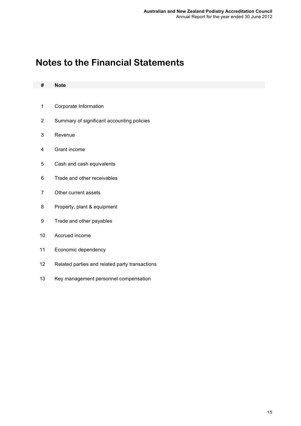# **Notes to the Financial Statements**

| #                       | <b>Note</b>                                    |
|-------------------------|------------------------------------------------|
|                         |                                                |
| $\mathbf 1$             | Corporate Information                          |
| $\overline{\mathbf{c}}$ | Summary of significant accounting policies     |
| 3                       | Revenue                                        |
| 4                       | Grant income                                   |
| 5                       | Cash and cash equivalents                      |
| 6                       | Trade and other receivables                    |
| $\overline{7}$          | Other current assets                           |
| 8                       | Property, plant & equipment                    |
| 9                       | Trade and other payables                       |
| 10                      | Accrued income                                 |
| 11                      | Economic dependency                            |
| 12                      | Related parties and related party transactions |
| 13                      | Key management personnel compensation          |
|                         |                                                |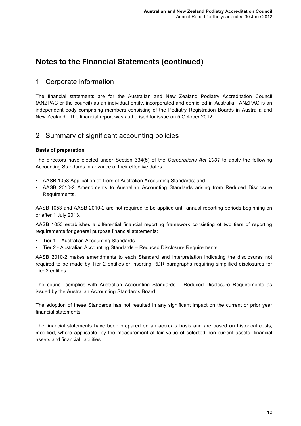### 1 Corporate information

The financial statements are for the Australian and New Zealand Podiatry Accreditation Council (ANZPAC or the council) as an individual entity, incorporated and domiciled in Australia. ANZPAC is an independent body comprising members consisting of the Podiatry Registration Boards in Australia and New Zealand. The financial report was authorised for issue on 5 October 2012.

### 2 Summary of significant accounting policies

### **Basis of preparation**

The directors have elected under Section 334(5) of the *Corporations Act 2001* to apply the following Accounting Standards in advance of their effective dates:

- AASB 1053 Application of Tiers of Australian Accounting Standards; and
- AASB 2010-2 Amendments to Australian Accounting Standards arising from Reduced Disclosure Requirements.

AASB 1053 and AASB 2010-2 are not required to be applied until annual reporting periods beginning on or after 1 July 2013.

AASB 1053 establishes a differential financial reporting framework consisting of two tiers of reporting requirements for general purpose financial statements:

- Tier 1 Australian Accounting Standards
- Tier 2 Australian Accounting Standards Reduced Disclosure Requirements.

AASB 2010-2 makes amendments to each Standard and Interpretation indicating the disclosures not required to be made by Tier 2 entities or inserting RDR paragraphs requiring simplified disclosures for Tier 2 entities.

The council complies with Australian Accounting Standards – Reduced Disclosure Requirements as issued by the Australian Accounting Standards Board.

The adoption of these Standards has not resulted in any significant impact on the current or prior year financial statements.

The financial statements have been prepared on an accruals basis and are based on historical costs, modified, where applicable, by the measurement at fair value of selected non-current assets, financial assets and financial liabilities.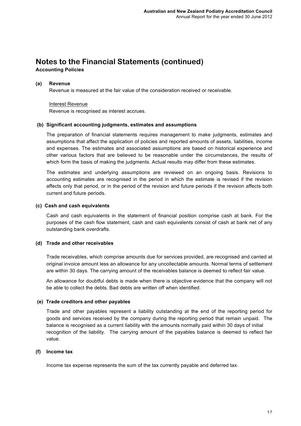**Accounting Policies**

### **(a) Revenue**

Revenue is measured at the fair value of the consideration received or receivable.

### Interest Revenue

Revenue is recognised as interest accrues.

### **(b) Significant accounting judgments, estimates and assumptions**

The preparation of financial statements requires management to make judgments, estimates and assumptions that affect the application of policies and reported amounts of assets, liabilities, income and expenses. The estimates and associated assumptions are based on historical experience and other various factors that are believed to be reasonable under the circumstances, the results of which form the basis of making the judgments. Actual results may differ from these estimates.

The estimates and underlying assumptions are reviewed on an ongoing basis. Revisions to accounting estimates are recognised in the period in which the estimate is revised if the revision affects only that period, or in the period of the revision and future periods if the revision affects both current and future periods.

### **(c) Cash and cash equivalents**

Cash and cash equivalents in the statement of financial position comprise cash at bank. For the purposes of the cash flow statement, cash and cash equivalents consist of cash at bank net of any outstanding bank overdrafts.

### **(d) Trade and other receivables**

Trade receivables, which comprise amounts due for services provided, are recognised and carried at original invoice amount less an allowance for any uncollectable amounts. Normal terms of settlement are within 30 days. The carrying amount of the receivables balance is deemed to reflect fair value.

An allowance for doubtful debts is made when there is objective evidence that the company will not be able to collect the debts. Bad debts are written off when identified.

#### **(e) Trade creditors and other payables**

Trade and other payables represent a liability outstanding at the end of the reporting period for goods and services received by the company during the reporting period that remain unpaid. The balance is recognised as a current liability with the amounts normally paid within 30 days of initial recognition of the liability. The carrying amount of the payables balance is deemed to reflect fair value.

#### **(f) Income tax**

Income tax expense represents the sum of the tax currently payable and deferred tax.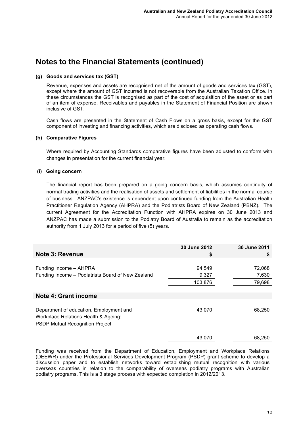### **(g) Goods and services tax (GST)**

Revenue, expenses and assets are recognised net of the amount of goods and services tax (GST), except where the amount of GST incurred is not recoverable from the Australian Taxation Office. In these circumstances the GST is recognised as part of the cost of acquisition of the asset or as part of an item of expense. Receivables and payables in the Statement of Financial Position are shown inclusive of GST.

Cash flows are presented in the Statement of Cash Flows on a gross basis, except for the GST component of investing and financing activities, which are disclosed as operating cash flows.

### **(h) Comparative Figures**

Where required by Accounting Standards comparative figures have been adjusted to conform with changes in presentation for the current financial year.

### **(i) Going concern**

The financial report has been prepared on a going concern basis, which assumes continuity of normal trading activities and the realisation of assets and settlement of liabilities in the normal course of business. ANZPAC's existence is dependent upon continued funding from the Australian Health Practitioner Regulation Agency (AHPRA) and the Podiatrists Board of New Zealand (PBNZ). The current Agreement for the Accreditation Function with AHPRA expires on 30 June 2013 and ANZPAC has made a submission to the Podiatry Board of Australia to remain as the accreditation authority from 1 July 2013 for a period of five (5) years.

| Note 3: Revenue                                                                                                           | 30 June 2012<br>\$         | 30 June 2011<br>\$        |
|---------------------------------------------------------------------------------------------------------------------------|----------------------------|---------------------------|
| Funding Income - AHPRA<br>Funding Income – Podiatrists Board of New Zealand                                               | 94,549<br>9,327<br>103,876 | 72,068<br>7,630<br>79,698 |
| Note 4: Grant income                                                                                                      |                            |                           |
| Department of education, Employment and<br>Workplace Relations Health & Ageing:<br><b>PSDP Mutual Recognition Project</b> | 43,070                     | 68,250                    |
|                                                                                                                           | 43,070                     | 68,250                    |

Funding was received from the Department of Education, Employment and Workplace Relations (DEEWR) under the Professional Services Development Program (PSDP) grant scheme to develop a discussion paper and to establish networks toward establishing mutual recognition with various overseas countries in relation to the comparability of overseas podiatry programs with Australian podiatry programs. This is a 3 stage process with expected completion in 2012/2013.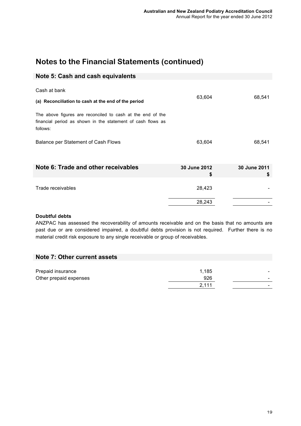### **Note 5: Cash and cash equivalents**

| Cash at bank                                                                                                                          |                    |                    |
|---------------------------------------------------------------------------------------------------------------------------------------|--------------------|--------------------|
| (a) Reconciliation to cash at the end of the period                                                                                   | 63,604             | 68,541             |
| The above figures are reconciled to cash at the end of the<br>financial period as shown in the statement of cash flows as<br>follows: |                    |                    |
| Balance per Statement of Cash Flows                                                                                                   | 63,604             | 68,541             |
| Note 6: Trade and other receivables                                                                                                   | 30 June 2012<br>\$ | 30 June 2011<br>\$ |
| Trade receivables                                                                                                                     | 28,423             |                    |
|                                                                                                                                       | 28,243             |                    |

### **Doubtful debts**

ANZPAC has assessed the recoverability of amounts receivable and on the basis that no amounts are past due or are considered impaired, a doubtful debts provision is not required. Further there is no material credit risk exposure to any single receivable or group of receivables.

### **Note 7: Other current assets**

| Prepaid insurance      | 1.185 | $\overline{\phantom{0}}$ |
|------------------------|-------|--------------------------|
| Other prepaid expenses | 926   | $\overline{\phantom{0}}$ |
|                        | 2,111 |                          |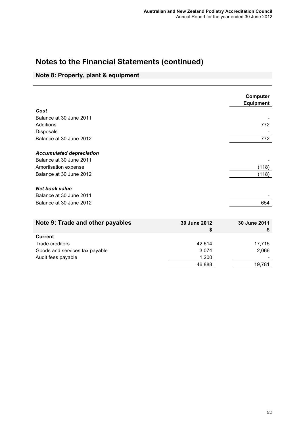### **Note 8: Property, plant & equipment**

|                                  |              | Computer<br><b>Equipment</b> |
|----------------------------------|--------------|------------------------------|
| Cost                             |              |                              |
| Balance at 30 June 2011          |              |                              |
| Additions                        |              | 772                          |
| Disposals                        |              |                              |
| Balance at 30 June 2012          |              | 772                          |
|                                  |              |                              |
| <b>Accumulated depreciation</b>  |              |                              |
| Balance at 30 June 2011          |              |                              |
| Amortisation expense             |              | (118)                        |
| Balance at 30 June 2012          |              | (118)                        |
|                                  |              |                              |
| <b>Net book value</b>            |              |                              |
| Balance at 30 June 2011          |              |                              |
| Balance at 30 June 2012          |              | 654                          |
|                                  |              |                              |
|                                  | 30 June 2012 | 30 June 2011                 |
| Note 9: Trade and other payables | \$           | \$                           |
| <b>Current</b>                   |              |                              |

| Current                        |        |        |
|--------------------------------|--------|--------|
| Trade creditors                | 42.614 | 17.715 |
| Goods and services tax payable | 3.074  | 2,066  |
| Audit fees payable             | 1.200  |        |
|                                | 46,888 | 19.781 |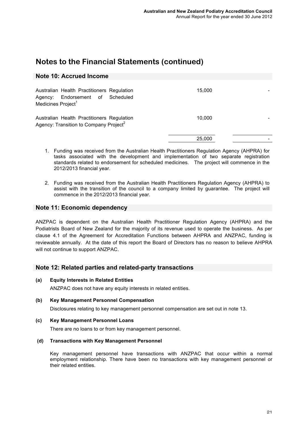### **Note 10: Accrued Income**

| Australian Health Practitioners Regulation<br>Agency: Endorsement of Scheduled<br>Medicines Project <sup>1</sup> | 15.000 |  |
|------------------------------------------------------------------------------------------------------------------|--------|--|
| Australian Health Practitioners Regulation<br>Agency: Transition to Company Project <sup>2</sup>                 | 10.000 |  |
|                                                                                                                  | 25,000 |  |

- 1. Funding was received from the Australian Health Practitioners Regulation Agency (AHPRA) for tasks associated with the development and implementation of two separate registration standards related to endorsement for scheduled medicines. The project will commence in the 2012/2013 financial year.
- 2. Funding was received from the Australian Health Practitioners Regulation Agency (AHPRA) to assist with the transition of the council to a company limited by guarantee. The project will commence in the 2012/2013 financial year.

### **Note 11: Economic dependency**

ANZPAC is dependent on the Australian Health Practitioner Regulation Agency (AHPRA) and the Podiatrists Board of New Zealand for the majority of its revenue used to operate the business. As per clause 4.1 of the Agreement for Accreditation Functions between AHPRA and ANZPAC, funding is reviewable annually. At the date of this report the Board of Directors has no reason to believe AHPRA will not continue to support ANZPAC.

### **Note 12: Related parties and related-party transactions**

**(a) Equity Interests in Related Entities**

ANZPAC does not have any equity interests in related entities.

**(b) Key Management Personnel Compensation**

Disclosures relating to key management personnel compensation are set out in note 13.

**(c) Key Management Personnel Loans**

There are no loans to or from key management personnel.

#### **(d) Transactions with Key Management Personnel**

Key management personnel have transactions with ANZPAC that occur within a normal employment relationship. There have been no transactions with key management personnel or their related entities.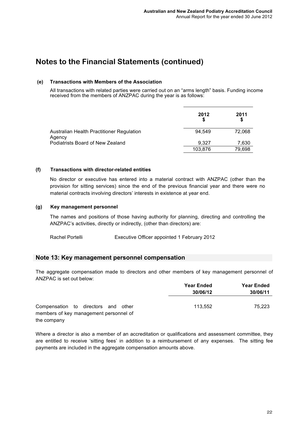### **(e) Transactions with Members of the Association**

All transactions with related parties were carried out on an "arms length" basis. Funding income received from the members of ANZPAC during the year is as follows:

|                                                     | 2012    | 2011   |
|-----------------------------------------------------|---------|--------|
| Australian Health Practitioner Regulation<br>Agency | 94.549  | 72.068 |
| Podiatrists Board of New Zealand                    | 9.327   | 7,630  |
|                                                     | 103,876 | 79,698 |

### **(f) Transactions with director-related entities**

No director or executive has entered into a material contract with ANZPAC (other than the provision for sitting services) since the end of the previous financial year and there were no material contracts involving directors' interests in existence at year end.

### **(g) Key management personnel**

The names and positions of those having authority for planning, directing and controlling the ANZPAC's activities, directly or indirectly, (other than directors) are:

Rachel Portelli Executive Officer appointed 1 February 2012

### **Note 13: Key management personnel compensation**

The aggregate compensation made to directors and other members of key management personnel of ANZPAC is set out below:

|                                                                               | <b>Year Ended</b><br>30/06/12 | <b>Year Ended</b><br>30/06/11 |
|-------------------------------------------------------------------------------|-------------------------------|-------------------------------|
|                                                                               |                               |                               |
| Compensation to directors and other<br>members of key management personnel of | 113.552                       | 75.223                        |
| the company                                                                   |                               |                               |

Where a director is also a member of an accreditation or qualifications and assessment committee, they are entitled to receive 'sitting fees' in addition to a reimbursement of any expenses. The sitting fee payments are included in the aggregate compensation amounts above.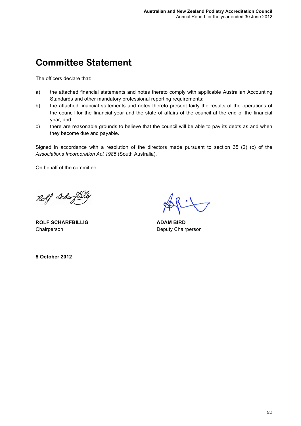# **Committee Statement**

The officers declare that:

- a) the attached financial statements and notes thereto comply with applicable Australian Accounting Standards and other mandatory professional reporting requirements;
- b) the attached financial statements and notes thereto present fairly the results of the operations of the council for the financial year and the state of affairs of the council at the end of the financial year; and
- c) there are reasonable grounds to believe that the council will be able to pay its debts as and when they become due and payable.

Signed in accordance with a resolution of the directors made pursuant to section 35 (2) (c) of the *Associations Incorporation Act 1985* (South Australia).

On behalf of the committee

Rolf Schaft

**ROLF SCHARFBILLIG** Chairperson

**ADAM BIRD** Deputy Chairperson

**5 October 2012**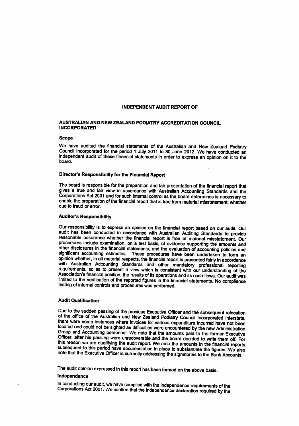#### **INDEPENDENT AUDIT REPORT OF**

#### AUSTRALIAN AND NEW ZEALAND PODIATRY ACCREDITATION COUNCIL **INCORPORATED**

#### **Scope**

We have audited the financial statements of the Australian and New Zealand Podiatry Council Incorporated for the period 1 July 2011 to 30 June 2012. We have conducted an independent audit of these financial statements in order to express an opinion on it to the hoard.

#### Director's Responsibility for the Financial Report

The board is responsible for the preparation and fair presentation of the financial report that gives a true and fair view in accordance with Australian Accounting Standards and the Corporations Act 2001 and for such internal control as the board determines is necessary to enable the preparation of the financial report that is free from material misstatement, whether due to fraud or error.

#### **Auditor's Responsibility**

Our responsibility is to express an opinion on the financial report based on our audit. Our audit has been conducted in accordance with Australian Auditing Standards to provide reasonable assurance whether the financial report is free of material misstatement. Our procedures include examination, on a test basis, of evidence supporting the amounts and other disclosures in the financial statements, and the evaluation of accounting policies and significant accounting estimates. These procedures have been undertaken to form an opinion whether, in all material respects, the financial report is presented fairly in accordance with Australian Accounting Standards and other mandatory professional reporting requirements, so as to present a view which is consistent with our understanding of the Association's financial position, the results of its operations and its cash flows. Our audit was limited to the verification of the reported figures in the financial statements. No compliance testing of internal controls and procedures was performed.

#### **Audit Qualification**

Due to the sudden passing of the previous Executive Officer and the subsequent relocation of the office of the Australian and New Zealand Podiatry Council Incorporated interstate, there were some instances where invoices for various expenditure incurred have not been located and could not be sighted as difficulties were encountered by the new Administration Group and Accounting personnel. We note that the amounts paid to the former Executive Officer, after his passing were unrecoverable and the board decided to write them off. For this reason we are qualifying the audit report. We note the amounts in the financial reports subsequent to this period have documentation in place to substantiate the figures. We also note that the Executive Officer is currently addressing the signatories to the Bank Accounts.

The audit opinion expressed in this report has been formed on the above basis.

#### Independence

In conducting our audit, we have complied with the independence requirements of the Corporations Act 2001. We confirm that the independence declaration required by the